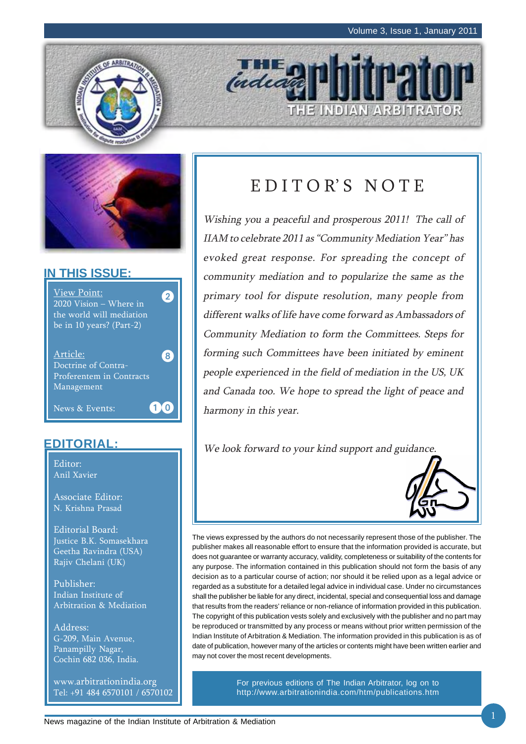THE INDIAN ARBITRATOR





### **IN THIS ISSUE:**



### **EDITORIAL:**

Editor: Anil Xavier

Associate Editor: N. Krishna Prasad

Editorial Board: Justice B.K. Somasekhara Geetha Ravindra (USA) Rajiv Chelani (UK)

Publisher: Indian Institute of Arbitration & Mediation

Address: G-209, Main Avenue, Panampilly Nagar, Cochin 682 036, India.

www.arbitrationindia.org Tel: +91 484 6570101 / 6570102

# EDITOR'S NOTE

indead

Wishing you a peaceful and prosperous 2011! The call of IIAM to celebrate 2011 as "Community Mediation Year" has evoked great response. For spreading the concept of community mediation and to popularize the same as the primary tool for dispute resolution, many people from different walks of life have come forward as Ambassadors of Community Mediation to form the Committees. Steps for forming such Committees have been initiated by eminent people experienced in the field of mediation in the US, UK and Canada too. We hope to spread the light of peace and harmony in this year.

We look forward to your kind support and guidance.



The views expressed by the authors do not necessarily represent those of the publisher. The publisher makes all reasonable effort to ensure that the information provided is accurate, but does not guarantee or warranty accuracy, validity, completeness or suitability of the contents for any purpose. The information contained in this publication should not form the basis of any decision as to a particular course of action; nor should it be relied upon as a legal advice or regarded as a substitute for a detailed legal advice in individual case. Under no circumstances shall the publisher be liable for any direct, incidental, special and consequential loss and damage that results from the readers' reliance or non-reliance of information provided in this publication. The copyright of this publication vests solely and exclusively with the publisher and no part may be reproduced or transmitted by any process or means without prior written permission of the Indian Institute of Arbitration & Mediation. The information provided in this publication is as of date of publication, however many of the articles or contents might have been written earlier and may not cover the most recent developments.

> For previous editions of The Indian Arbitrator, log on to http://www.arbitrationindia.com/htm/publications.htm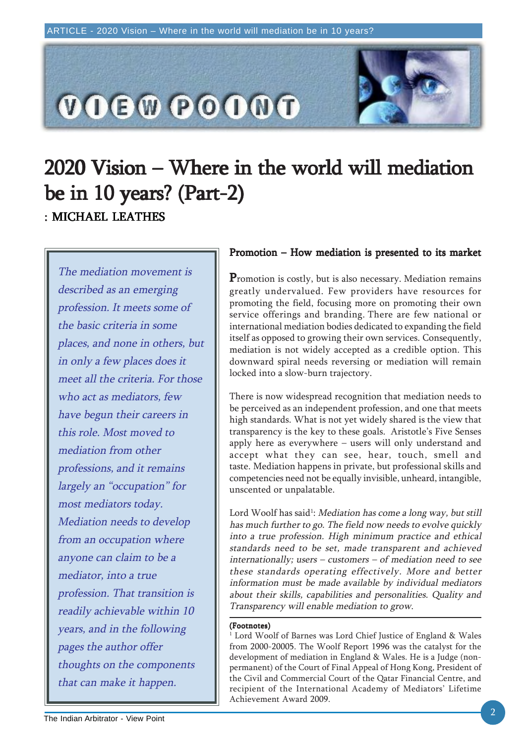

# 2020 Vision – Where in the world will mediation 2020 Vision – Where in the world will mediation be in  $10$  years? (Part-2) : MICHAEL LEATHES

The mediation movement is described as an emerging profession. It meets some of the basic criteria in some places, and none in others, but in only a few places does it meet all the criteria. For those who act as mediators, few have begun their careers in this role. Most moved to mediation from other professions, and it remains largely an "occupation" for most mediators today. Mediation needs to develop from an occupation where anyone can claim to be a mediator, into a true profession. That transition is readily achievable within 10 years, and in the following pages the author offer thoughts on the components that can make it happen.

### Promotion – How mediation is presented to its market

Promotion is costly, but is also necessary. Mediation remains greatly undervalued. Few providers have resources for promoting the field, focusing more on promoting their own service offerings and branding. There are few national or international mediation bodies dedicated to expanding the field itself as opposed to growing their own services. Consequently, mediation is not widely accepted as a credible option. This downward spiral needs reversing or mediation will remain locked into a slow-burn trajectory.

There is now widespread recognition that mediation needs to be perceived as an independent profession, and one that meets high standards. What is not yet widely shared is the view that transparency is the key to these goals. Aristotle's Five Senses apply here as everywhere – users will only understand and accept what they can see, hear, touch, smell and taste. Mediation happens in private, but professional skills and competencies need not be equally invisible, unheard, intangible, unscented or unpalatable.

Lord Woolf has said<sup>1</sup>: *Mediation has come a long way, but still* has much further to go. The field now needs to evolve quickly into a true profession. High minimum practice and ethical standards need to be set, made transparent and achieved internationally; users – customers – of mediation need to see these standards operating effectively. More and better information must be made available by individual mediators about their skills, capabilities and personalities. Quality and Transparency will enable mediation to grow.

#### (Footnotes)

 $^{\rm 1}$  Lord Woolf of Barnes was Lord Chief Justice of England & Wales from 2000-20005. The Woolf Report 1996 was the catalyst for the development of mediation in England & Wales. He is a Judge (nonpermanent) of the Court of Final Appeal of Hong Kong, President of the Civil and Commercial Court of the Qatar Financial Centre, and recipient of the International Academy of Mediators' Lifetime Achievement Award 2009.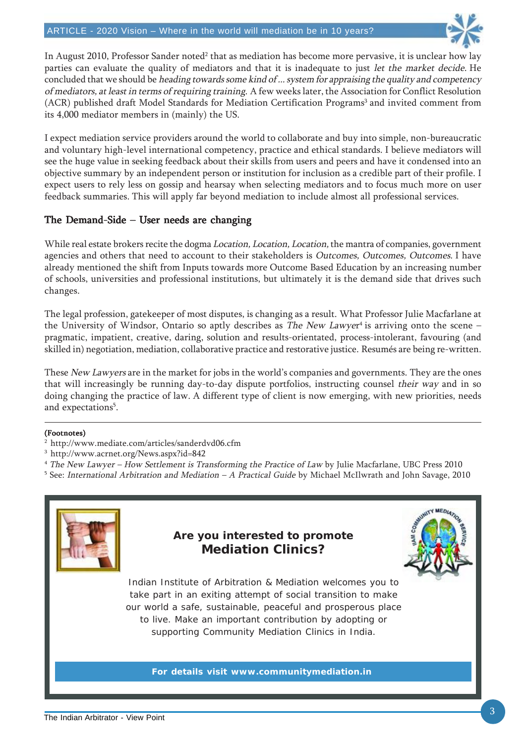

In August 2010, Professor Sander noted $^2$  that as mediation has become more pervasive, it is unclear how lay parties can evaluate the quality of mediators and that it is inadequate to just let the market decide. He concluded that we should be heading towards some kind of ... system for appraising the quality and competency of mediators, at least in terms of requiring training. A few weeks later, the Association for Conflict Resolution (ACR) published draft Model Standards for Mediation Certification Programs<sup>3</sup> and invited comment from its 4,000 mediator members in (mainly) the US.

I expect mediation service providers around the world to collaborate and buy into simple, non-bureaucratic and voluntary high-level international competency, practice and ethical standards. I believe mediators will see the huge value in seeking feedback about their skills from users and peers and have it condensed into an objective summary by an independent person or institution for inclusion as a credible part of their profile. I expect users to rely less on gossip and hearsay when selecting mediators and to focus much more on user feedback summaries. This will apply far beyond mediation to include almost all professional services.

### The Demand-Side – User needs are changing

While real estate brokers recite the dogma *Location, Location, Location*, the mantra of companies, government agencies and others that need to account to their stakeholders is Outcomes, Outcomes, Outcomes. I have already mentioned the shift from Inputs towards more Outcome Based Education by an increasing number of schools, universities and professional institutions, but ultimately it is the demand side that drives such changes.

The legal profession, gatekeeper of most disputes, is changing as a result. What Professor Julie Macfarlane at the University of Windsor, Ontario so aptly describes as *The New Lawye*r<sup>4</sup> is arriving onto the scene – pragmatic, impatient, creative, daring, solution and results-orientated, process-intolerant, favouring (and skilled in) negotiation, mediation, collaborative practice and restorative justice. Resumés are being re-written.

These New Lawyers are in the market for jobs in the world's companies and governments. They are the ones that will increasingly be running day-to-day dispute portfolios, instructing counsel their way and in so doing changing the practice of law. A different type of client is now emerging, with new priorities, needs and expectations<sup>5</sup>.

### (Footnotes)

- 2 http://www.mediate.com/articles/sanderdvd06.cfm
- 3 http://www.acrnet.org/News.aspx?id=842
- <sup>4</sup> The New Lawyer How Settlement is Transforming the Practice of Law by Julie Macfarlane, UBC Press 2010
- $^5$  See: *International Arbitration and Mediation A Practical Guide* by Michael McIlwrath and John Savage, 2010

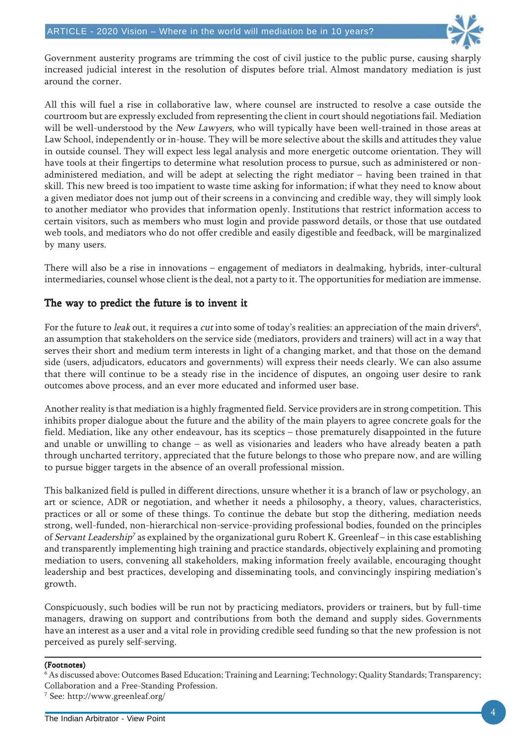

Government austerity programs are trimming the cost of civil justice to the public purse, causing sharply increased judicial interest in the resolution of disputes before trial. Almost mandatory mediation is just around the corner.

All this will fuel a rise in collaborative law, where counsel are instructed to resolve a case outside the courtroom but are expressly excluded from representing the client in court should negotiations fail. Mediation will be well-understood by the New Lawyers, who will typically have been well-trained in those areas at Law School, independently or in-house. They will be more selective about the skills and attitudes they value in outside counsel. They will expect less legal analysis and more energetic outcome orientation. They will have tools at their fingertips to determine what resolution process to pursue, such as administered or nonadministered mediation, and will be adept at selecting the right mediator – having been trained in that skill. This new breed is too impatient to waste time asking for information; if what they need to know about a given mediator does not jump out of their screens in a convincing and credible way, they will simply look to another mediator who provides that information openly. Institutions that restrict information access to certain visitors, such as members who must login and provide password details, or those that use outdated web tools, and mediators who do not offer credible and easily digestible and feedback, will be marginalized by many users.

There will also be a rise in innovations – engagement of mediators in dealmaking, hybrids, inter-cultural intermediaries, counsel whose client is the deal, not a party to it. The opportunities for mediation are immense.

### The way to predict the future is to invent it

For the future to *leak* out, it requires a *cut* into some of today's realities: an appreciation of the main drivers<sup>6</sup>, an assumption that stakeholders on the service side (mediators, providers and trainers) will act in a way that serves their short and medium term interests in light of a changing market, and that those on the demand side (users, adjudicators, educators and governments) will express their needs clearly. We can also assume that there will continue to be a steady rise in the incidence of disputes, an ongoing user desire to rank outcomes above process, and an ever more educated and informed user base.

Another reality is that mediation is a highly fragmented field. Service providers are in strong competition. This inhibits proper dialogue about the future and the ability of the main players to agree concrete goals for the field. Mediation, like any other endeavour, has its sceptics – those prematurely disappointed in the future and unable or unwilling to change – as well as visionaries and leaders who have already beaten a path through uncharted territory, appreciated that the future belongs to those who prepare now, and are willing to pursue bigger targets in the absence of an overall professional mission.

This balkanized field is pulled in different directions, unsure whether it is a branch of law or psychology, an art or science, ADR or negotiation, and whether it needs a philosophy, a theory, values, characteristics, practices or all or some of these things. To continue the debate but stop the dithering, mediation needs strong, well-funded, non-hierarchical non-service-providing professional bodies, founded on the principles of Servant Leadership<sup>7</sup> as explained by the organizational guru Robert K. Greenleaf – in this case establishing and transparently implementing high training and practice standards, objectively explaining and promoting mediation to users, convening all stakeholders, making information freely available, encouraging thought leadership and best practices, developing and disseminating tools, and convincingly inspiring mediation's growth.

Conspicuously, such bodies will be run not by practicing mediators, providers or trainers, but by full-time managers, drawing on support and contributions from both the demand and supply sides. Governments have an interest as a user and a vital role in providing credible seed funding so that the new profession is not perceived as purely self-serving.

#### (Footnotes)

<sup>6</sup> As discussed above: Outcomes Based Education; Training and Learning; Technology; Quality Standards; Transparency; Collaboration and a Free-Standing Profession. 7 See: http://www.greenleaf.org/

The Indian Arbitrator - View Point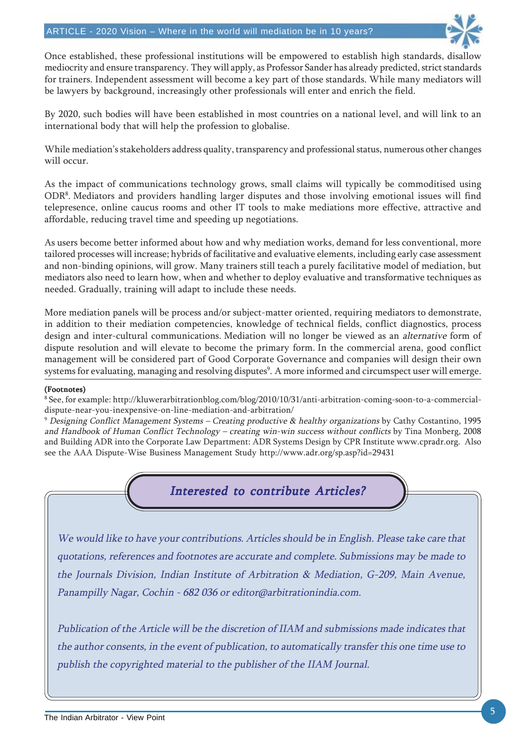

Once established, these professional institutions will be empowered to establish high standards, disallow mediocrity and ensure transparency. They will apply, as Professor Sander has already predicted, strict standards for trainers. Independent assessment will become a key part of those standards. While many mediators will be lawyers by background, increasingly other professionals will enter and enrich the field.

By 2020, such bodies will have been established in most countries on a national level, and will link to an international body that will help the profession to globalise.

While mediation's stakeholders address quality, transparency and professional status, numerous other changes will occur.

As the impact of communications technology grows, small claims will typically be commoditised using ODR8 . Mediators and providers handling larger disputes and those involving emotional issues will find telepresence, online caucus rooms and other IT tools to make mediations more effective, attractive and affordable, reducing travel time and speeding up negotiations.

As users become better informed about how and why mediation works, demand for less conventional, more tailored processes will increase; hybrids of facilitative and evaluative elements, including early case assessment and non-binding opinions, will grow. Many trainers still teach a purely facilitative model of mediation, but mediators also need to learn how, when and whether to deploy evaluative and transformative techniques as needed. Gradually, training will adapt to include these needs.

More mediation panels will be process and/or subject-matter oriented, requiring mediators to demonstrate, in addition to their mediation competencies, knowledge of technical fields, conflict diagnostics, process design and inter-cultural communications. Mediation will no longer be viewed as an alternative form of dispute resolution and will elevate to become the primary form. In the commercial arena, good conflict management will be considered part of Good Corporate Governance and companies will design their own systems for evaluating, managing and resolving disputes $^{\rm 9}$ . A more informed and circumspect user will emerge.

#### (Footnotes)

8 See, for example: http://kluwerarbitrationblog.com/blog/2010/10/31/anti-arbitration-coming-soon-to-a-commercialdispute-near-you-inexpensive-on-line-mediation-and-arbitration/

<sup>9</sup> Designing Conflict Management Systems – Creating productive & healthy organizations by Cathy Costantino, 1995 and Handbook of Human Conflict Technology – creating win-win success without conflicts by Tina Monberg, 2008 and Building ADR into the Corporate Law Department: ADR Systems Design by CPR Institute www.cpradr.org. Also see the AAA Dispute-Wise Business Management Study http://www.adr.org/sp.asp?id=29431

Interested to contribute Articles?

We would like to have your contributions. Articles should be in English. Please take care that quotations, references and footnotes are accurate and complete. Submissions may be made to the Journals Division, Indian Institute of Arbitration & Mediation, G-209, Main Avenue, Panampilly Nagar, Cochin - 682 036 or editor@arbitrationindia.com.

Publication of the Article will be the discretion of IIAM and submissions made indicates that the author consents, in the event of publication, to automatically transfer this one time use to publish the copyrighted material to the publisher of the IIAM Journal.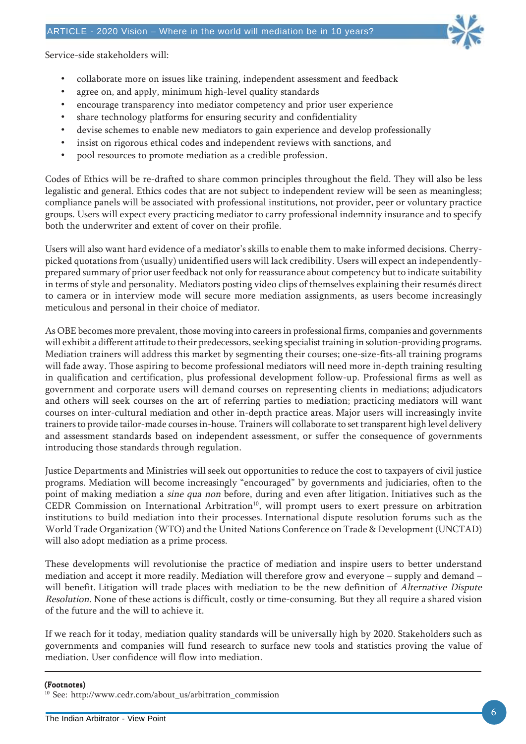

Service-side stakeholders will:

- collaborate more on issues like training, independent assessment and feedback
- agree on, and apply, minimum high-level quality standards
- encourage transparency into mediator competency and prior user experience
- share technology platforms for ensuring security and confidentiality
- devise schemes to enable new mediators to gain experience and develop professionally
- insist on rigorous ethical codes and independent reviews with sanctions, and
- pool resources to promote mediation as a credible profession.

Codes of Ethics will be re-drafted to share common principles throughout the field. They will also be less legalistic and general. Ethics codes that are not subject to independent review will be seen as meaningless; compliance panels will be associated with professional institutions, not provider, peer or voluntary practice groups. Users will expect every practicing mediator to carry professional indemnity insurance and to specify both the underwriter and extent of cover on their profile.

Users will also want hard evidence of a mediator's skills to enable them to make informed decisions. Cherrypicked quotations from (usually) unidentified users will lack credibility. Users will expect an independentlyprepared summary of prior user feedback not only for reassurance about competency but to indicate suitability in terms of style and personality. Mediators posting video clips of themselves explaining their resumés direct to camera or in interview mode will secure more mediation assignments, as users become increasingly meticulous and personal in their choice of mediator.

As OBE becomes more prevalent, those moving into careers in professional firms, companies and governments will exhibit a different attitude to their predecessors, seeking specialist training in solution-providing programs. Mediation trainers will address this market by segmenting their courses; one-size-fits-all training programs will fade away. Those aspiring to become professional mediators will need more in-depth training resulting in qualification and certification, plus professional development follow-up. Professional firms as well as government and corporate users will demand courses on representing clients in mediations; adjudicators and others will seek courses on the art of referring parties to mediation; practicing mediators will want courses on inter-cultural mediation and other in-depth practice areas. Major users will increasingly invite trainers to provide tailor-made courses in-house. Trainers will collaborate to set transparent high level delivery and assessment standards based on independent assessment, or suffer the consequence of governments introducing those standards through regulation.

Justice Departments and Ministries will seek out opportunities to reduce the cost to taxpayers of civil justice programs. Mediation will become increasingly "encouraged" by governments and judiciaries, often to the point of making mediation a sine qua non before, during and even after litigation. Initiatives such as the CEDR Commission on International Arbitration<sup>10</sup>, will prompt users to exert pressure on arbitration institutions to build mediation into their processes. International dispute resolution forums such as the World Trade Organization (WTO) and the United Nations Conference on Trade & Development (UNCTAD) will also adopt mediation as a prime process.

These developments will revolutionise the practice of mediation and inspire users to better understand mediation and accept it more readily. Mediation will therefore grow and everyone – supply and demand – will benefit. Litigation will trade places with mediation to be the new definition of *Alternative Dispute* Resolution. None of these actions is difficult, costly or time-consuming. But they all require a shared vision of the future and the will to achieve it.

If we reach for it today, mediation quality standards will be universally high by 2020. Stakeholders such as governments and companies will fund research to surface new tools and statistics proving the value of mediation. User confidence will flow into mediation.

#### (Footnotes)

10 See: http://www.cedr.com/about\_us/arbitration\_commission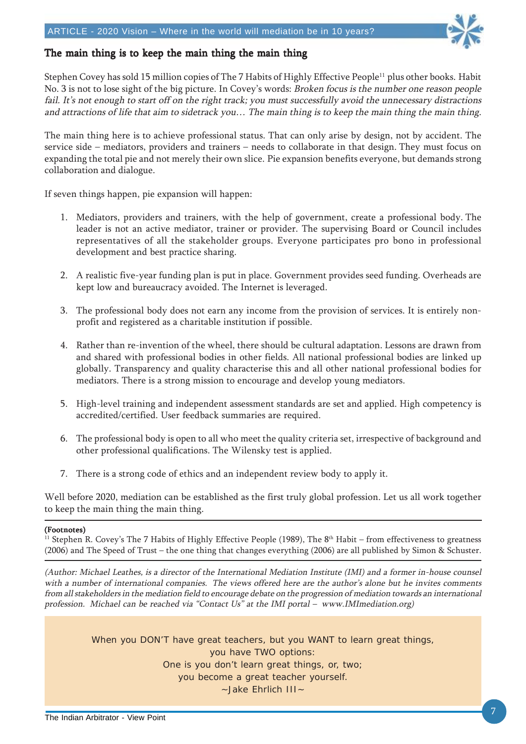

### The main thing is to keep the main thing the main thing

Stephen Covey has sold 15 million copies of The 7 Habits of Highly Effective People<sup>11</sup> plus other books. Habit No. 3 is not to lose sight of the big picture. In Covey's words: Broken focus is the number one reason people fail. It's not enough to start off on the right track; you must successfully avoid the unnecessary distractions and attractions of life that aim to sidetrack you… The main thing is to keep the main thing the main thing.

The main thing here is to achieve professional status. That can only arise by design, not by accident. The service side – mediators, providers and trainers – needs to collaborate in that design. They must focus on expanding the total pie and not merely their own slice. Pie expansion benefits everyone, but demands strong collaboration and dialogue.

If seven things happen, pie expansion will happen:

- 1. Mediators, providers and trainers, with the help of government, create a professional body. The leader is not an active mediator, trainer or provider. The supervising Board or Council includes representatives of all the stakeholder groups. Everyone participates pro bono in professional development and best practice sharing.
- 2. A realistic five-year funding plan is put in place. Government provides seed funding. Overheads are kept low and bureaucracy avoided. The Internet is leveraged.
- 3. The professional body does not earn any income from the provision of services. It is entirely nonprofit and registered as a charitable institution if possible.
- 4. Rather than re-invention of the wheel, there should be cultural adaptation. Lessons are drawn from and shared with professional bodies in other fields. All national professional bodies are linked up globally. Transparency and quality characterise this and all other national professional bodies for mediators. There is a strong mission to encourage and develop young mediators.
- 5. High-level training and independent assessment standards are set and applied. High competency is accredited/certified. User feedback summaries are required.
- 6. The professional body is open to all who meet the quality criteria set, irrespective of background and other professional qualifications. The Wilensky test is applied.
- 7. There is a strong code of ethics and an independent review body to apply it.

Well before 2020, mediation can be established as the first truly global profession. Let us all work together to keep the main thing the main thing.

#### (Footnotes)

<sup>11</sup> Stephen R. Covey's The 7 Habits of Highly Effective People (1989), The 8<sup>th</sup> Habit – from effectiveness to greatness (2006) and The Speed of Trust – the one thing that changes everything (2006) are all published by Simon & Schuster.

(Author: Michael Leathes, is a director of the International Mediation Institute (IMI) and a former in-house counsel with a number of international companies. The views offered here are the author's alone but he invites comments from all stakeholders in the mediation field to encourage debate on the progression of mediation towards an international profession. Michael can be reached via "Contact Us" at the IMI portal – www.IMImediation.org)

> When you DON'T have great teachers, but you WANT to learn great things, you have TWO options: One is you don't learn great things, or, two; you become a great teacher yourself. ~Jake Ehrlich III~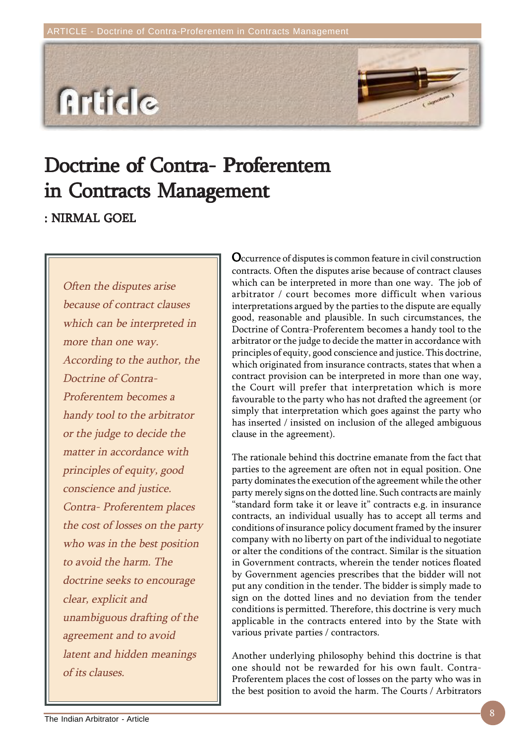

# Doctrine of Contra- Proferentem in Contracts Management

: NIRMAL GOEL

Often the disputes arise because of contract clauses which can be interpreted in more than one way. According to the author, the Doctrine of Contra-Proferentem becomes a handy tool to the arbitrator or the judge to decide the matter in accordance with principles of equity, good conscience and justice. Contra- Proferentem places the cost of losses on the party who was in the best position to avoid the harm. The doctrine seeks to encourage clear, explicit and unambiguous drafting of the agreement and to avoid latent and hidden meanings of its clauses.

Occurrence of disputes is common feature in civil construction contracts. Often the disputes arise because of contract clauses which can be interpreted in more than one way. The job of arbitrator / court becomes more difficult when various interpretations argued by the parties to the dispute are equally good, reasonable and plausible. In such circumstances, the Doctrine of Contra-Proferentem becomes a handy tool to the arbitrator or the judge to decide the matter in accordance with principles of equity, good conscience and justice. This doctrine, which originated from insurance contracts, states that when a contract provision can be interpreted in more than one way, the Court will prefer that interpretation which is more favourable to the party who has not drafted the agreement (or simply that interpretation which goes against the party who has inserted / insisted on inclusion of the alleged ambiguous clause in the agreement).

The rationale behind this doctrine emanate from the fact that parties to the agreement are often not in equal position. One party dominates the execution of the agreement while the other party merely signs on the dotted line. Such contracts are mainly "standard form take it or leave it" contracts e.g. in insurance contracts, an individual usually has to accept all terms and conditions of insurance policy document framed by the insurer company with no liberty on part of the individual to negotiate or alter the conditions of the contract. Similar is the situation in Government contracts, wherein the tender notices floated by Government agencies prescribes that the bidder will not put any condition in the tender. The bidder is simply made to sign on the dotted lines and no deviation from the tender conditions is permitted. Therefore, this doctrine is very much applicable in the contracts entered into by the State with various private parties / contractors.

Another underlying philosophy behind this doctrine is that one should not be rewarded for his own fault. Contra-Proferentem places the cost of losses on the party who was in the best position to avoid the harm. The Courts / Arbitrators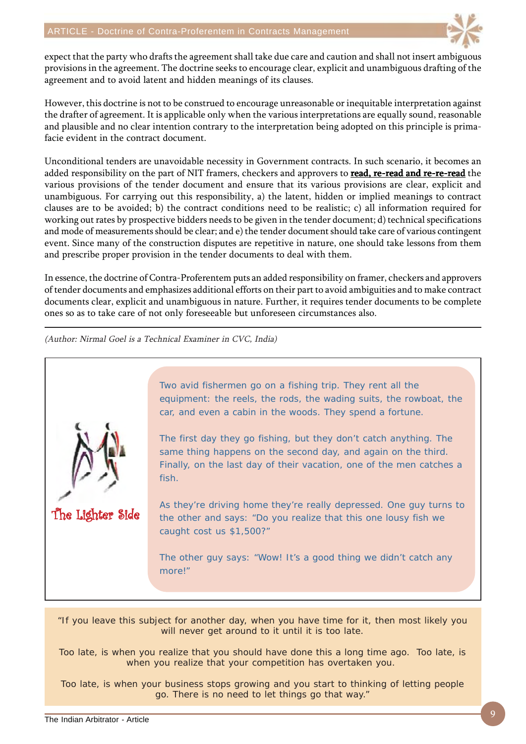

expect that the party who drafts the agreement shall take due care and caution and shall not insert ambiguous provisions in the agreement. The doctrine seeks to encourage clear, explicit and unambiguous drafting of the agreement and to avoid latent and hidden meanings of its clauses.

However, this doctrine is not to be construed to encourage unreasonable or inequitable interpretation against the drafter of agreement. It is applicable only when the various interpretations are equally sound, reasonable and plausible and no clear intention contrary to the interpretation being adopted on this principle is primafacie evident in the contract document.

Unconditional tenders are unavoidable necessity in Government contracts. In such scenario, it becomes an added responsibility on the part of NIT framers, checkers and approvers to read, re-read and re-re-read the various provisions of the tender document and ensure that its various provisions are clear, explicit and unambiguous. For carrying out this responsibility, a) the latent, hidden or implied meanings to contract clauses are to be avoided; b) the contract conditions need to be realistic; c) all information required for working out rates by prospective bidders needs to be given in the tender document; d) technical specifications and mode of measurements should be clear; and e) the tender document should take care of various contingent event. Since many of the construction disputes are repetitive in nature, one should take lessons from them and prescribe proper provision in the tender documents to deal with them.

In essence, the doctrine of Contra-Proferentem puts an added responsibility on framer, checkers and approvers of tender documents and emphasizes additional efforts on their part to avoid ambiguities and to make contract documents clear, explicit and unambiguous in nature. Further, it requires tender documents to be complete ones so as to take care of not only foreseeable but unforeseen circumstances also.

(Author: Nirmal Goel is a Technical Examiner in CVC, India)



Two avid fishermen go on a fishing trip. They rent all the equipment: the reels, the rods, the wading suits, the rowboat, the car, and even a cabin in the woods. They spend a fortune.

The first day they go fishing, but they don't catch anything. The same thing happens on the second day, and again on the third. Finally, on the last day of their vacation, one of the men catches a fish.

As they're driving home they're really depressed. One guy turns to the other and says: "Do you realize that this one lousy fish we caught cost us \$1,500?"

The other guy says: "Wow! It's a good thing we didn't catch any more!"

"If you leave this subject for another day, when you have time for it, then most likely you will never get around to it until it is too late.

Too late, is when you realize that you should have done this a long time ago. Too late, is when you realize that your competition has overtaken you.

Too late, is when your business stops growing and you start to thinking of letting people go. There is no need to let things go that way."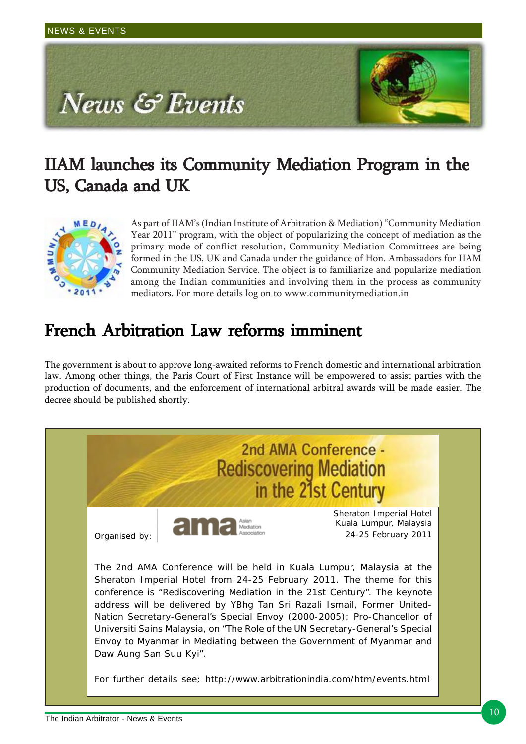

# IIAM launches its Community Mediation Program in the US, Canada and UK



As part of IIAM's (Indian Institute of Arbitration & Mediation) "Community Mediation Year 2011" program, with the object of popularizing the concept of mediation as the primary mode of conflict resolution, Community Mediation Committees are being formed in the US, UK and Canada under the guidance of Hon. Ambassadors for IIAM Community Mediation Service. The object is to familiarize and popularize mediation among the Indian communities and involving them in the process as community mediators. For more details log on to www.communitymediation.in

# French Arbitration Law reforms imminent

The government is about to approve long-awaited reforms to French domestic and international arbitration law. Among other things, the Paris Court of First Instance will be empowered to assist parties with the production of documents, and the enforcement of international arbitral awards will be made easier. The decree should be published shortly.

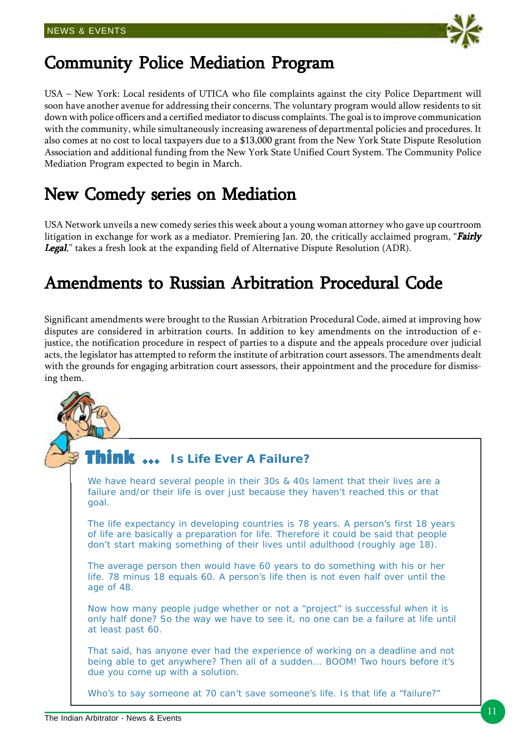

# Community Police Mediation Program

USA – New York: Local residents of UTICA who file complaints against the city Police Department will soon have another avenue for addressing their concerns. The voluntary program would allow residents to sit down with police officers and a certified mediator to discuss complaints. The goal is to improve communication with the community, while simultaneously increasing awareness of departmental policies and procedures. It also comes at no cost to local taxpayers due to a \$13,000 grant from the New York State Dispute Resolution Association and additional funding from the New York State Unified Court System. The Community Police Mediation Program expected to begin in March.

# New Comedy series on Mediation

USA Network unveils a new comedy series this week about a young woman attorney who gave up courtroom litigation in exchange for work as a mediator. Premiering Jan. 20, the critically acclaimed program, "Fairly Legal," takes a fresh look at the expanding field of Alternative Dispute Resolution (ADR).

# Amendments to Russian Arbitration Procedural Code

Significant amendments were brought to the Russian Arbitration Procedural Code, aimed at improving how disputes are considered in arbitration courts. In addition to key amendments on the introduction of ejustice, the notification procedure in respect of parties to a dispute and the appeals procedure over judicial acts, the legislator has attempted to reform the institute of arbitration court assessors. The amendments dealt with the grounds for engaging arbitration court assessors, their appointment and the procedure for dismissing them.

#### Think  $\,\cdots\,$ **Is Life Ever A Failure?**

We have heard several people in their 30s & 40s lament that their lives are a failure and/or their life is over just because they haven't reached this or that goal.

The life expectancy in developing countries is 78 years. A person's first 18 years of life are basically a preparation for life. Therefore it could be said that people don't start making something of their lives until adulthood (roughly age 18).

The average person then would have 60 years to do something with his or her life. 78 minus 18 equals 60. A person's life then is not even half over until the age of 48.

Now how many people judge whether or not a "project" is successful when it is only half done? So the way we have to see it, no one can be a failure at life until at least past 60.

That said, has anyone ever had the experience of working on a deadline and not being able to get anywhere? Then all of a sudden... BOOM! Two hours before it's due you come up with a solution.

Who's to say someone at 70 can't save someone's life. Is that life a "failure?"